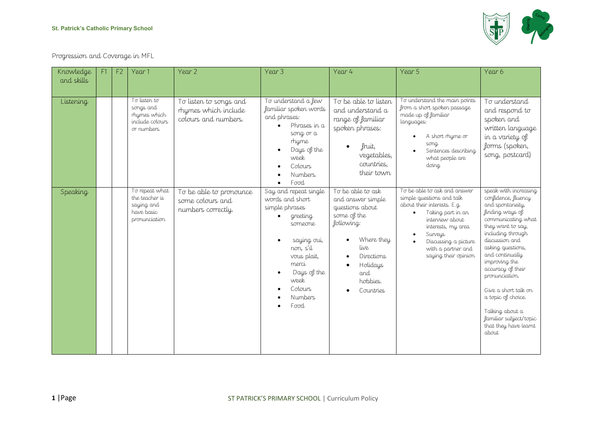

Progression and Coverage in MFL

| Knowledge<br>and skills | F1 | F <sub>2</sub> | Year 1                                                                        | Year 2                                                                 | Year 3                                                                                                                                                                                            | Year 4                                                                                                                                                                 | Year 5                                                                                                                                                                                                                                  | Year 6                                                                                                                                                                                                                                                                                                                                                                                             |
|-------------------------|----|----------------|-------------------------------------------------------------------------------|------------------------------------------------------------------------|---------------------------------------------------------------------------------------------------------------------------------------------------------------------------------------------------|------------------------------------------------------------------------------------------------------------------------------------------------------------------------|-----------------------------------------------------------------------------------------------------------------------------------------------------------------------------------------------------------------------------------------|----------------------------------------------------------------------------------------------------------------------------------------------------------------------------------------------------------------------------------------------------------------------------------------------------------------------------------------------------------------------------------------------------|
| Listening               |    |                | To listen to<br>songs and<br>rhymes which<br>include colours<br>or numbers.   | To listen to songs and<br>rhymes which include<br>colours and numbers. | To understand a few<br>familiar spoken words<br>and phrases:<br>Phrases in a<br>song or a<br>rhyme<br>Days of the<br>week<br>Colours<br>Numbers.<br>Food                                          | To be able to listen<br>and understand a<br>range of familiar<br>spoken phrases:<br>fruit,<br>vegetables,<br>countries,<br>their town                                  | To understand the main points<br>from a short spoken passage<br>made up of familiar<br>languages:<br>A short rhyme or<br>song<br>Sentences describing<br>what people are<br>doing                                                       | To understand<br>and respond to<br>spoken and<br>written language<br>in a variety of<br>forms (spoken,<br>song, postcard)                                                                                                                                                                                                                                                                          |
| Speaking                |    |                | To repeat what<br>the teacher is<br>saying and<br>have basic<br>pronunciation | To be able to pronounce<br>some colours and<br>numbers correctly.      | Say and repeat single<br>words and short<br>simple phrases<br>greeting<br>someone<br>saying oui,<br>non, s'il<br>vous plait,<br>merci<br>Days of the<br>week<br>Colours<br><b>Numbers</b><br>Food | To be able to ask<br>and answer simple<br>questions about<br>some of the<br>following:<br>Where they<br>live<br>Directions<br>Holidays<br>and<br>hobbies.<br>Countries | To be able to ask and answer<br>simple questions and talk<br>about their interests. E.g.<br>Taking part in an<br>interview about<br>interests, my area<br>Surveys<br>Discussing a picture<br>with a partner and<br>saying their opinion | speak with increasing<br>confidence, fluency<br>and spontaneity,<br>finding ways of<br>communicating what<br>they want to say,<br>including through<br>discussion and<br>asking questions,<br>and continually<br>improving the<br>accuracy of their<br>pronunciation.<br>Give a short talk on<br>a topic of choice.<br>Talking about a<br>familiar subject/topic<br>that they have learnt<br>about |